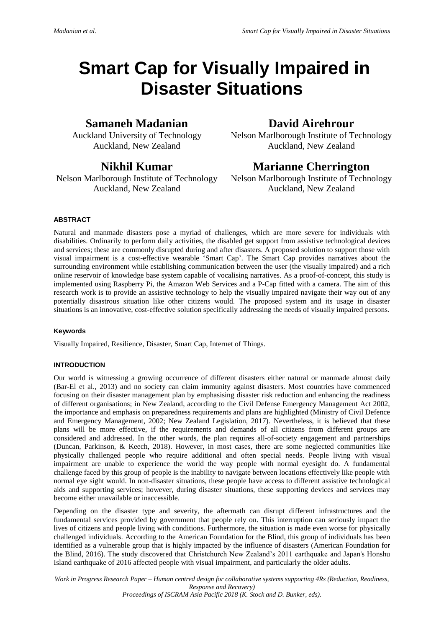# **Smart Cap for Visually Impaired in Disaster Situations**

# **Samaneh Madanian**

Auckland University of Technology Auckland, New Zealand

# **Nikhil Kumar**

Nelson Marlborough Institute of Technology Auckland, New Zealand

# **David Airehrour**

Nelson Marlborough Institute of Technology Auckland, New Zealand

# **Marianne Cherrington**

Nelson Marlborough Institute of Technology Auckland, New Zealand

# **ABSTRACT**

Natural and manmade disasters pose a myriad of challenges, which are more severe for individuals with disabilities. Ordinarily to perform daily activities, the disabled get support from assistive technological devices and services; these are commonly disrupted during and after disasters. A proposed solution to support those with visual impairment is a cost-effective wearable 'Smart Cap'. The Smart Cap provides narratives about the surrounding environment while establishing communication between the user (the visually impaired) and a rich online reservoir of knowledge base system capable of vocalising narratives. As a proof-of-concept, this study is implemented using Raspberry Pi, the Amazon Web Services and a P-Cap fitted with a camera. The aim of this research work is to provide an assistive technology to help the visually impaired navigate their way out of any potentially disastrous situation like other citizens would. The proposed system and its usage in disaster situations is an innovative, cost-effective solution specifically addressing the needs of visually impaired persons.

# **Keywords**

Visually Impaired, Resilience, Disaster, Smart Cap, Internet of Things.

# **INTRODUCTION**

Our world is witnessing a growing occurrence of different disasters either natural or manmade almost daily (Bar-El et al., 2013) and no society can claim immunity against disasters. Most countries have commenced focusing on their disaster management plan by emphasising disaster risk reduction and enhancing the readiness of different organisations; in New Zealand, according to the Civil Defense Emergency Management Act 2002, the importance and emphasis on preparedness requirements and plans are highlighted (Ministry of Civil Defence and Emergency Management, 2002; New Zealand Legislation, 2017). Nevertheless, it is believed that these plans will be more effective, if the requirements and demands of all citizens from different groups are considered and addressed. In the other words, the plan requires all-of-society engagement and partnerships (Duncan, Parkinson, & Keech, 2018). However, in most cases, there are some neglected communities like physically challenged people who require additional and often special needs. People living with visual impairment are unable to experience the world the way people with normal eyesight do. A fundamental challenge faced by this group of people is the inability to navigate between locations effectively like people with normal eye sight would. In non-disaster situations, these people have access to different assistive technological aids and supporting services; however, during disaster situations, these supporting devices and services may become either unavailable or inaccessible.

Depending on the disaster type and severity, the aftermath can disrupt different infrastructures and the fundamental services provided by government that people rely on. This interruption can seriously impact the lives of citizens and people living with conditions. Furthermore, the situation is made even worse for physically challenged individuals. According to the American Foundation for the Blind, this group of individuals has been identified as a vulnerable group that is highly impacted by the influence of disasters (American Foundation for the Blind, 2016). The study discovered that Christchurch New Zealand's 2011 earthquake and Japan's Honshu Island earthquake of 2016 affected people with visual impairment, and particularly the older adults.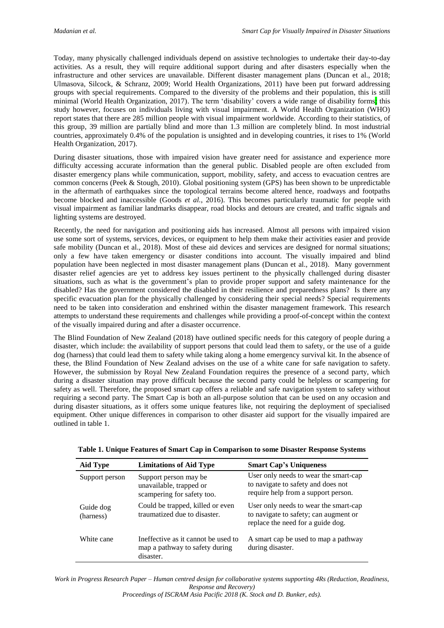Today, many physically challenged individuals depend on assistive technologies to undertake their day-to-day activities. As a result, they will require additional support during and after disasters especially when the infrastructure and other services are unavailable. Different disaster management plans (Duncan et al., 2018; Ulmasova, Silcock, & Schranz, 2009; World Health Organizations, 2011) have been put forward addressing groups with special requirements. Compared to the diversity of the problems and their population, this is still minimal (World Health Organization, 2017). The term 'disability' covers a wide range of disability forms; this study however, focuses on individuals living with visual impairment. A World Health Organization (WHO) report states that there are 285 million people with visual impairment worldwide. According to their statistics, of this group, 39 million are partially blind and more than 1.3 million are completely blind. In most industrial countries, approximately 0.4% of the population is unsighted and in developing countries, it rises to 1% (World Health Organization, 2017).

During disaster situations, those with impaired vision have greater need for assistance and experience more difficulty accessing accurate information than the general public. Disabled people are often excluded from disaster emergency plans while communication, support, mobility, safety, and access to evacuation centres are common concerns (Peek & Stough, 2010). Global positioning system (GPS) has been shown to be unpredictable in the aftermath of earthquakes since the topological terrains become altered hence, roadways and footpaths become blocked and inaccessible (Goods *et al.*, 2016). This becomes particularly traumatic for people with visual impairment as familiar landmarks disappear, road blocks and detours are created, and traffic signals and lighting systems are destroyed.

Recently, the need for navigation and positioning aids has increased. Almost all persons with impaired vision use some sort of systems, services, devices, or equipment to help them make their activities easier and provide safe mobility (Duncan et al., 2018). Most of these aid devices and services are designed for normal situations; only a few have taken emergency or disaster conditions into account. The visually impaired and blind population have been neglected in most disaster management plans (Duncan et al., 2018). Many government disaster relief agencies are yet to address key issues pertinent to the physically challenged during disaster situations, such as what is the government's plan to provide proper support and safety maintenance for the disabled? Has the government considered the disabled in their resilience and preparedness plans? Is there any specific evacuation plan for the physically challenged by considering their special needs? Special requirements need to be taken into consideration and enshrined within the disaster management framework. This research attempts to understand these requirements and challenges while providing a proof-of-concept within the context of the visually impaired during and after a disaster occurrence.

The Blind Foundation of New Zealand (2018) have outlined specific needs for this category of people during a disaster, which include: the availability of support persons that could lead them to safety, or the use of a guide dog (harness) that could lead them to safety while taking along a home emergency survival kit. In the absence of these, the Blind Foundation of New Zealand advises on the use of a white cane for safe navigation to safety. However, the submission by Royal New Zealand Foundation requires the presence of a second party, which during a disaster situation may prove difficult because the second party could be helpless or scampering for safety as well. Therefore, the proposed smart cap offers a reliable and safe navigation system to safety without requiring a second party. The Smart Cap is both an all-purpose solution that can be used on any occasion and during disaster situations, as it offers some unique features like, not requiring the deployment of specialised equipment. Other unique differences in comparison to other disaster aid support for the visually impaired are outlined in table 1.

| Aid Type               | <b>Limitations of Aid Type</b>                                                     | <b>Smart Cap's Uniqueness</b>                                                                                       |
|------------------------|------------------------------------------------------------------------------------|---------------------------------------------------------------------------------------------------------------------|
| Support person         | Support person may be<br>unavailable, trapped or<br>scampering for safety too.     | User only needs to wear the smart-cap<br>to navigate to safety and does not<br>require help from a support person.  |
| Guide dog<br>(harness) | Could be trapped, killed or even<br>traumatized due to disaster.                   | User only needs to wear the smart-cap<br>to navigate to safety; can augment or<br>replace the need for a guide dog. |
| White cane             | Ineffective as it cannot be used to<br>map a pathway to safety during<br>disaster. | A smart cap be used to map a pathway<br>during disaster.                                                            |

| Table 1. Unique Features of Smart Cap in Comparison to some Disaster Response Systems |  |  |
|---------------------------------------------------------------------------------------|--|--|
|                                                                                       |  |  |

*Work in Progress Research Paper – Human centred design for collaborative systems supporting 4Rs (Reduction, Readiness, Response and Recovery)*

*Proceedings of ISCRAM Asia Pacific 2018 (K. Stock and D. Bunker, eds).*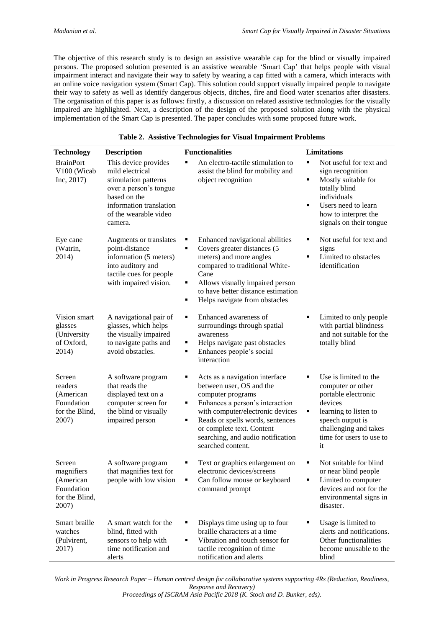The objective of this research study is to design an assistive wearable cap for the blind or visually impaired persons. The proposed solution presented is an assistive wearable 'Smart Cap' that helps people with visual impairment interact and navigate their way to safety by wearing a cap fitted with a camera, which interacts with an online voice navigation system (Smart Cap). This solution could support visually impaired people to navigate their way to safety as well as identify dangerous objects, ditches, fire and flood water scenarios after disasters. The organisation of this paper is as follows: firstly, a discussion on related assistive technologies for the visually impaired are highlighted. Next, a description of the design of the proposed solution along with the physical implementation of the Smart Cap is presented. The paper concludes with some proposed future work.

| <b>Technology</b>                                                          | <b>Description</b>                                                                                                                                                       | <b>Functionalities</b>                                                                                                                                                                                                                                                                           | <b>Limitations</b>                                                                                                                                                                             |
|----------------------------------------------------------------------------|--------------------------------------------------------------------------------------------------------------------------------------------------------------------------|--------------------------------------------------------------------------------------------------------------------------------------------------------------------------------------------------------------------------------------------------------------------------------------------------|------------------------------------------------------------------------------------------------------------------------------------------------------------------------------------------------|
| <b>BrainPort</b><br>V100 (Wicab<br>Inc, 2017)                              | This device provides<br>mild electrical<br>stimulation patterns<br>over a person's tongue<br>based on the<br>information translation<br>of the wearable video<br>camera. | An electro-tactile stimulation to<br>٠<br>assist the blind for mobility and<br>object recognition                                                                                                                                                                                                | Not useful for text and<br>٠<br>sign recognition<br>Mostly suitable for<br>٠<br>totally blind<br>individuals<br>Users need to learn<br>٠<br>how to interpret the<br>signals on their tongue    |
| Eye cane<br>(Watrin,<br>2014)                                              | Augments or translates<br>point-distance<br>information (5 meters)<br>into auditory and<br>tactile cues for people<br>with impaired vision.                              | Enhanced navigational abilities<br>п<br>Covers greater distances (5<br>٠<br>meters) and more angles<br>compared to traditional White-<br>Cane<br>Allows visually impaired person<br>٠<br>to have better distance estimation<br>Helps navigate from obstacles<br>٠                                | Not useful for text and<br>٠<br>signs<br>Limited to obstacles<br>٠<br>identification                                                                                                           |
| Vision smart<br>glasses<br>(University<br>of Oxford,<br>2014)              | A navigational pair of<br>glasses, which helps<br>the visually impaired<br>to navigate paths and<br>avoid obstacles.                                                     | Enhanced awareness of<br>٠<br>surroundings through spatial<br>awareness<br>Helps navigate past obstacles<br>٠<br>Enhances people's social<br>٠<br>interaction                                                                                                                                    | Limited to only people<br>٠<br>with partial blindness<br>and not suitable for the<br>totally blind                                                                                             |
| Screen<br>readers<br>(American<br>Foundation<br>for the Blind,<br>2007)    | A software program<br>that reads the<br>displayed text on a<br>computer screen for<br>the blind or visually<br>impaired person                                           | Acts as a navigation interface<br>п<br>between user, OS and the<br>computer programs<br>Enhances a person's interaction<br>٠<br>with computer/electronic devices<br>Reads or spells words, sentences<br>٠<br>or complete text. Content<br>searching, and audio notification<br>searched content. | Use is limited to the<br>٠<br>computer or other<br>portable electronic<br>devices<br>learning to listen to<br>٠<br>speech output is<br>challenging and takes<br>time for users to use to<br>it |
| Screen<br>magnifiers<br>(American<br>Foundation<br>for the Blind,<br>2007) | A software program<br>that magnifies text for<br>people with low vision                                                                                                  | Text or graphics enlargement on<br>п<br>electronic devices/screens<br>Can follow mouse or keyboard<br>٠<br>command prompt                                                                                                                                                                        | Not suitable for blind<br>٠<br>or near blind people<br>Limited to computer<br>٠<br>devices and not for the<br>environmental signs in<br>disaster.                                              |
| Smart braille<br>watches<br>(Pulvirent,<br>2017)                           | A smart watch for the<br>blind, fitted with<br>sensors to help with<br>time notification and<br>alerts                                                                   | Displays time using up to four<br>п<br>braille characters at a time<br>Vibration and touch sensor for<br>٠<br>tactile recognition of time<br>notification and alerts                                                                                                                             | Usage is limited to<br>٠<br>alerts and notifications.<br>Other functionalities<br>become unusable to the<br>blind                                                                              |

## **Table 2. Assistive Technologies for Visual Impairment Problems**

*Work in Progress Research Paper – Human centred design for collaborative systems supporting 4Rs (Reduction, Readiness, Response and Recovery)*

*Proceedings of ISCRAM Asia Pacific 2018 (K. Stock and D. Bunker, eds).*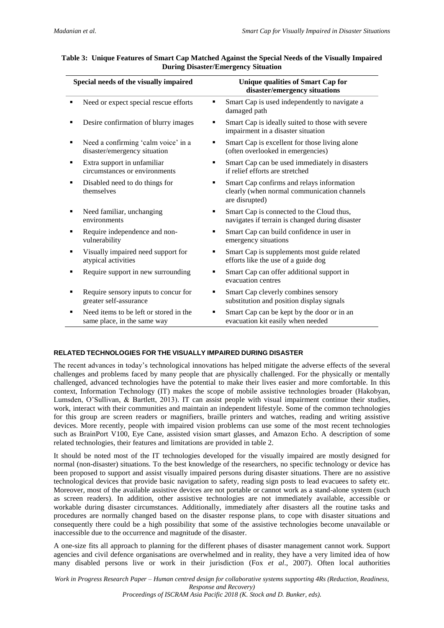|   | Special needs of the visually impaired                                | <b>Unique qualities of Smart Cap for</b><br>disaster/emergency situations |                                                                                                            |
|---|-----------------------------------------------------------------------|---------------------------------------------------------------------------|------------------------------------------------------------------------------------------------------------|
|   | Need or expect special rescue efforts                                 |                                                                           | Smart Cap is used independently to navigate a<br>damaged path                                              |
|   | Desire confirmation of blurry images                                  |                                                                           | Smart Cap is ideally suited to those with severe<br>impairment in a disaster situation                     |
|   | Need a confirming 'calm voice' in a<br>disaster/emergency situation   |                                                                           | Smart Cap is excellent for those living alone<br>(often overlooked in emergencies)                         |
| ٠ | Extra support in unfamiliar<br>circumstances or environments          |                                                                           | Smart Cap can be used immediately in disasters<br>if relief efforts are stretched                          |
|   | Disabled need to do things for<br>themselves                          |                                                                           | Smart Cap confirms and relays information<br>clearly (when normal communication channels<br>are disrupted) |
| ٠ | Need familiar, unchanging<br>environments                             | ٠                                                                         | Smart Cap is connected to the Cloud thus,<br>navigates if terrain is changed during disaster               |
| ٠ | Require independence and non-<br>vulnerability                        | ٠                                                                         | Smart Cap can build confidence in user in<br>emergency situations                                          |
| ٠ | Visually impaired need support for<br>atypical activities             | ٠                                                                         | Smart Cap is supplements most guide related<br>efforts like the use of a guide dog                         |
| ٠ | Require support in new surrounding                                    | ٠                                                                         | Smart Cap can offer additional support in<br>evacuation centres                                            |
| ٠ | Require sensory inputs to concur for<br>greater self-assurance        | ٠                                                                         | Smart Cap cleverly combines sensory<br>substitution and position display signals                           |
| ٠ | Need items to be left or stored in the<br>same place, in the same way | ٠                                                                         | Smart Cap can be kept by the door or in an<br>evacuation kit easily when needed                            |

# **Table 3: Unique Features of Smart Cap Matched Against the Special Needs of the Visually Impaired During Disaster/Emergency Situation**

# **RELATED TECHNOLOGIES FOR THE VISUALLY IMPAIRED DURING DISASTER**

The recent advances in today's technological innovations has helped mitigate the adverse effects of the several challenges and problems faced by many people that are physically challenged. For the physically or mentally challenged, advanced technologies have the potential to make their lives easier and more comfortable. In this context, Information Technology (IT) makes the scope of mobile assistive technologies broader (Hakobyan, Lumsden, O'Sullivan, & Bartlett, 2013). IT can assist people with visual impairment continue their studies, work, interact with their communities and maintain an independent lifestyle. Some of the common technologies for this group are screen readers or magnifiers, braille printers and watches, reading and writing assistive devices. More recently, people with impaired vision problems can use some of the most recent technologies such as BrainPort V100, Eye Cane, assisted vision smart glasses, and Amazon Echo. A description of some related technologies, their features and limitations are provided in table 2.

It should be noted most of the IT technologies developed for the visually impaired are mostly designed for normal (non-disaster) situations. To the best knowledge of the researchers, no specific technology or device has been proposed to support and assist visually impaired persons during disaster situations. There are no assistive technological devices that provide basic navigation to safety, reading sign posts to lead evacuees to safety etc. Moreover, most of the available assistive devices are not portable or cannot work as a stand-alone system (such as screen readers). In addition, other assistive technologies are not immediately available, accessible or workable during disaster circumstances. Additionally, immediately after disasters all the routine tasks and procedures are normally changed based on the disaster response plans, to cope with disaster situations and consequently there could be a high possibility that some of the assistive technologies become unavailable or inaccessible due to the occurrence and magnitude of the disaster.

A one-size fits all approach to planning for the different phases of disaster management cannot work. Support agencies and civil defence organisations are overwhelmed and in reality, they have a very limited idea of how many disabled persons live or work in their jurisdiction (Fox *et al*., 2007). Often local authorities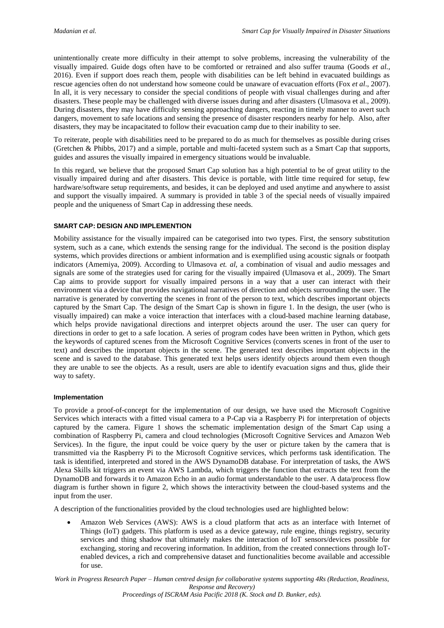unintentionally create more difficulty in their attempt to solve problems, increasing the vulnerability of the visually impaired. Guide dogs often have to be comforted or retrained and also suffer trauma (Goods *et al.*, 2016). Even if support does reach them, people with disabilities can be left behind in evacuated buildings as rescue agencies often do not understand how someone could be unaware of evacuation efforts (Fox *et al*., 2007). In all, it is very necessary to consider the special conditions of people with visual challenges during and after disasters. These people may be challenged with diverse issues during and after disasters (Ulmasova et al., 2009). During disasters, they may have difficulty sensing approaching dangers, reacting in timely manner to avert such dangers, movement to safe locations and sensing the presence of disaster responders nearby for help. Also, after disasters, they may be incapacitated to follow their evacuation camp due to their inability to see.

To reiterate, people with disabilities need to be prepared to do as much for themselves as possible during crises (Gretchen & Phibbs, 2017) and a simple, portable and multi-faceted system such as a Smart Cap that supports, guides and assures the visually impaired in emergency situations would be invaluable.

In this regard, we believe that the proposed Smart Cap solution has a high potential to be of great utility to the visually impaired during and after disasters. This device is portable, with little time required for setup, few hardware/software setup requirements, and besides, it can be deployed and used anytime and anywhere to assist and support the visually impaired. A summary is provided in table 3 of the special needs of visually impaired people and the uniqueness of Smart Cap in addressing these needs.

## **SMART CAP: DESIGN AND IMPLEMENTION**

Mobility assistance for the visually impaired can be categorised into two types. First, the sensory substitution system, such as a cane, which extends the sensing range for the individual. The second is the position display systems, which provides directions or ambient information and is exemplified using acoustic signals or footpath indicators (Amemiya, 2009). According to Ulmasova *et. al*, a combination of visual and audio messages and signals are some of the strategies used for caring for the visually impaired (Ulmasova et al., 2009). The Smart Cap aims to provide support for visually impaired persons in a way that a user can interact with their environment via a device that provides navigational narratives of direction and objects surrounding the user. The narrative is generated by converting the scenes in front of the person to text, which describes important objects captured by the Smart Cap. The design of the Smart Cap is shown in figure 1. In the design, the user (who is visually impaired) can make a voice interaction that interfaces with a cloud-based machine learning database, which helps provide navigational directions and interpret objects around the user. The user can query for directions in order to get to a safe location. A series of program codes have been written in Python, which gets the keywords of captured scenes from the Microsoft Cognitive Services (converts scenes in front of the user to text) and describes the important objects in the scene. The generated text describes important objects in the scene and is saved to the database. This generated text helps users identify objects around them even though they are unable to see the objects. As a result, users are able to identify evacuation signs and thus, glide their way to safety.

### **Implementation**

To provide a proof-of-concept for the implementation of our design, we have used the Microsoft Cognitive Services which interacts with a fitted visual camera to a P-Cap via a Raspberry Pi for interpretation of objects captured by the camera. Figure 1 shows the schematic implementation design of the Smart Cap using a combination of Raspberry Pi, camera and cloud technologies (Microsoft Cognitive Services and Amazon Web Services). In the figure, the input could be voice query by the user or picture taken by the camera that is transmitted via the Raspberry Pi to the Microsoft Cognitive services, which performs task identification. The task is identified, interpreted and stored in the AWS DynamoDB database. For interpretation of tasks, the AWS Alexa Skills kit triggers an event via AWS Lambda, which triggers the function that extracts the text from the DynamoDB and forwards it to Amazon Echo in an audio format understandable to the user. A data/process flow diagram is further shown in figure 2, which shows the interactivity between the cloud-based systems and the input from the user.

A description of the functionalities provided by the cloud technologies used are highlighted below:

• Amazon Web Services (AWS): AWS is a cloud platform that acts as an interface with Internet of Things (IoT) gadgets. This platform is used as a device gateway, rule engine, things registry, security services and thing shadow that ultimately makes the interaction of IoT sensors/devices possible for exchanging, storing and recovering information. In addition, from the created connections through IoTenabled devices, a rich and comprehensive dataset and functionalities become available and accessible for use.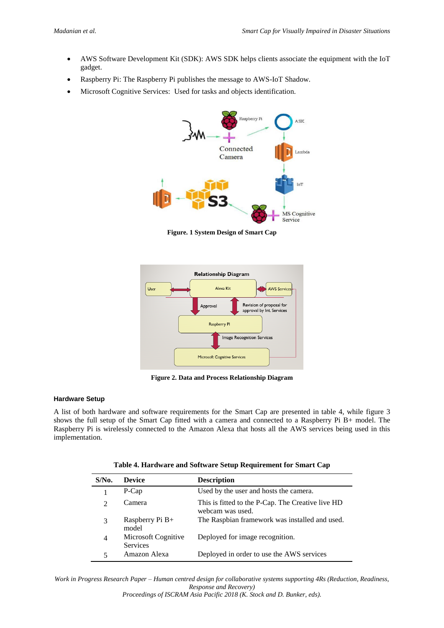- AWS Software Development Kit (SDK): AWS SDK helps clients associate the equipment with the IoT gadget.
- Raspberry Pi: The Raspberry Pi publishes the message to AWS-IoT Shadow.
- Microsoft Cognitive Services: Used for tasks and objects identification.



**Figure. 1 System Design of Smart Cap**



**Figure 2. Data and Process Relationship Diagram**

## **Hardware Setup**

A list of both hardware and software requirements for the Smart Cap are presented in table 4, while figure 3 shows the full setup of the Smart Cap fitted with a camera and connected to a Raspberry Pi B+ model. The Raspberry Pi is wirelessly connected to the Amazon Alexa that hosts all the AWS services being used in this implementation.

|  | Table 4. Hardware and Software Setup Requirement for Smart Cap |  |
|--|----------------------------------------------------------------|--|
|--|----------------------------------------------------------------|--|

| $S/N0$ .                    | <b>Device</b>                          | <b>Description</b>                                                    |
|-----------------------------|----------------------------------------|-----------------------------------------------------------------------|
|                             | P-Cap                                  | Used by the user and hosts the camera.                                |
| $\mathcal{D}_{\mathcal{L}}$ | Camera                                 | This is fitted to the P-Cap. The Creative live HD<br>webcam was used. |
| 3                           | Raspberry Pi B+<br>model               | The Raspbian framework was installed and used.                        |
| 4                           | Microsoft Cognitive<br><b>Services</b> | Deployed for image recognition.                                       |
| 5                           | Amazon Alexa                           | Deployed in order to use the AWS services                             |

*Work in Progress Research Paper – Human centred design for collaborative systems supporting 4Rs (Reduction, Readiness, Response and Recovery)*

*Proceedings of ISCRAM Asia Pacific 2018 (K. Stock and D. Bunker, eds).*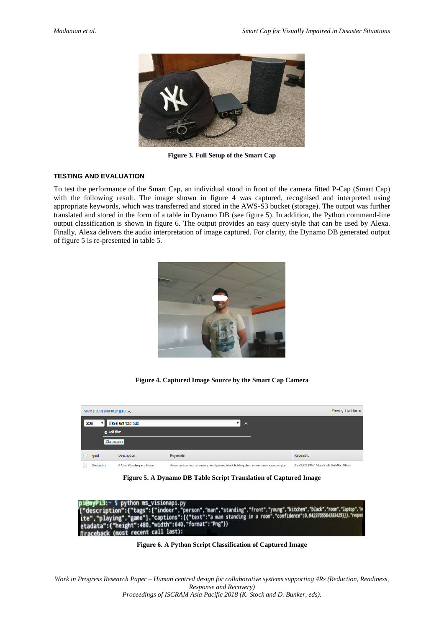

**Figure 3. Full Setup of the Smart Cap**

# **TESTING AND EVALUATION**

To test the performance of the Smart Cap, an individual stood in front of the camera fitted P-Cap (Smart Cap) with the following result. The image shown in figure 4 was captured, recognised and interpreted using appropriate keywords, which was transferred and stored in the AWS-S3 bucket (storage). The output was further translated and stored in the form of a table in Dynamo DB (see figure 5). In addition, the Python command-line output classification is shown in figure 6. The output provides an easy query-style that can be used by Alexa. Finally, Alexa delivers the audio interpretation of image captured. For clarity, the Dynamo DB generated output of figure 5 is re-presented in table 5.



**Figure 4. Captured Image Source by the Smart Cap Camera**

| Viewing 1 to 1 items<br>Scan: [Table] smartcap: guid $\land$ |  |                          |                                                                                         |                                    |  |
|--------------------------------------------------------------|--|--------------------------|-----------------------------------------------------------------------------------------|------------------------------------|--|
| [Table] smartcap: guid<br>▼ 1<br>Scan<br>$\lambda$           |  |                          |                                                                                         |                                    |  |
| <b>O</b> Add filter                                          |  |                          |                                                                                         |                                    |  |
| Start search                                                 |  |                          |                                                                                         |                                    |  |
| guid                                                         |  | <b>Description</b>       | <b>Keywords</b>                                                                         | <b>Requist Id</b>                  |  |
| Donorinfon                                                   |  | A Man Charding in a Deam | Dernon indoor man phanding, front poping black balding ghirt, compare room waaring lar- | 46x72x82.0407.4dax.9xd8.6x0xb402x4 |  |

**Figure 5. A Dynamo DB Table Script Translation of Captured Image**

thon visin י בונ nyPi3:~ > python ms\_visionapi.py<br>escription":{"tags":["indoor","person","man","standing","front","young","kitchen","black","room","laptop","w<br>","playing","game"],"captions":[{"text":"a man standing in a room","confidence": etadata (most recent call last):

**Figure 6. A Python Script Classification of Captured Image**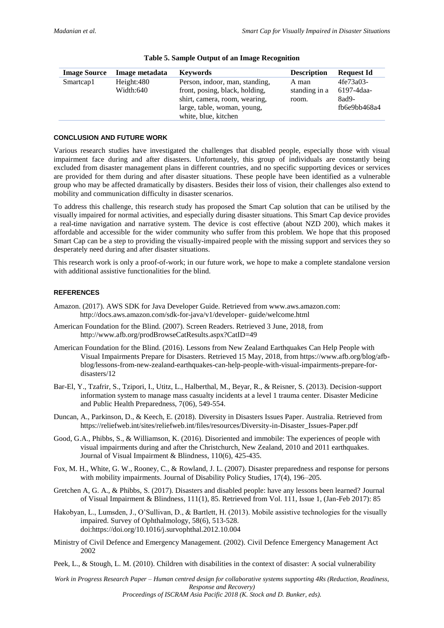| <b>Image Source</b> | Image metadata          | <b>Keywords</b>                                                                                                                  | <b>Description</b>              | <b>Request Id</b>                                |
|---------------------|-------------------------|----------------------------------------------------------------------------------------------------------------------------------|---------------------------------|--------------------------------------------------|
| Smartcap1           | Height:480<br>Width:640 | Person, indoor, man, standing,<br>front, posing, black, holding,<br>shirt, camera, room, wearing,<br>large, table, woman, young, | A man<br>standing in a<br>room. | 4fe73a03-<br>6197-4daa-<br>8ad9-<br>fb6e9bb468a4 |
|                     |                         | white, blue, kitchen                                                                                                             |                                 |                                                  |

#### **Table 5. Sample Output of an Image Recognition**

### **CONCLUSION AND FUTURE WORK**

Various research studies have investigated the challenges that disabled people, especially those with visual impairment face during and after disasters. Unfortunately, this group of individuals are constantly being excluded from disaster management plans in different countries, and no specific supporting devices or services are provided for them during and after disaster situations. These people have been identified as a vulnerable group who may be affected dramatically by disasters. Besides their loss of vision, their challenges also extend to mobility and communication difficulty in disaster scenarios.

To address this challenge, this research study has proposed the Smart Cap solution that can be utilised by the visually impaired for normal activities, and especially during disaster situations. This Smart Cap device provides a real-time navigation and narrative system. The device is cost effective (about NZD 200), which makes it affordable and accessible for the wider community who suffer from this problem. We hope that this proposed Smart Cap can be a step to providing the visually-impaired people with the missing support and services they so desperately need during and after disaster situations.

This research work is only a proof-of-work; in our future work, we hope to make a complete standalone version with additional assistive functionalities for the blind.

## **REFERENCES**

- Amazon. (2017). AWS SDK for Java Developer Guide. Retrieved from www.aws.amazon.com: http://docs.aws.amazon.com/sdk-for-java/v1/developer- guide/welcome.html
- American Foundation for the Blind. (2007). Screen Readers. Retrieved 3 June, 2018, from http://www.afb.org/prodBrowseCatResults.aspx?CatID=49
- American Foundation for the Blind. (2016). Lessons from New Zealand Earthquakes Can Help People with Visual Impairments Prepare for Disasters. Retrieved 15 May, 2018, from https://www.afb.org/blog/afbblog/lessons-from-new-zealand-earthquakes-can-help-people-with-visual-impairments-prepare-fordisasters/12
- Bar-El, Y., Tzafrir, S., Tzipori, I., Utitz, L., Halberthal, M., Beyar, R., & Reisner, S. (2013). Decision-support information system to manage mass casualty incidents at a level 1 trauma center. Disaster Medicine and Public Health Preparedness, 7(06), 549-554.
- Duncan, A., Parkinson, D., & Keech, E. (2018). Diversity in Disasters Issues Paper. Australia. Retrieved from https://reliefweb.int/sites/reliefweb.int/files/resources/Diversity-in-Disaster\_Issues-Paper.pdf
- Good, G.A., Phibbs, S., & Williamson, K. (2016). Disoriented and immobile: The experiences of people with visual impairments during and after the Christchurch, New Zealand, 2010 and 2011 earthquakes. Journal of Visual Impairment & Blindness, 110(6), 425-435.
- Fox, M. H., White, G. W., Rooney, C., & Rowland, J. L. (2007). Disaster preparedness and response for persons with mobility impairments. Journal of Disability Policy Studies, 17(4), 196–205.
- Gretchen A, G. A., & Phibbs, S. (2017). Disasters and disabled people: have any lessons been learned? Journal of Visual Impairment & Blindness, 111(1), 85. Retrieved from Vol. 111, Issue 1, (Jan-Feb 2017): 85
- Hakobyan, L., Lumsden, J., O'Sullivan, D., & Bartlett, H. (2013). Mobile assistive technologies for the visually impaired. Survey of Ophthalmology, 58(6), 513-528. doi:https://doi.org/10.1016/j.survophthal.2012.10.004
- Ministry of Civil Defence and Emergency Management. (2002). Civil Defence Emergency Management Act 2002
- Peek, L., & Stough, L. M. (2010). Children with disabilities in the context of disaster: A social vulnerability

*Work in Progress Research Paper – Human centred design for collaborative systems supporting 4Rs (Reduction, Readiness, Response and Recovery)*